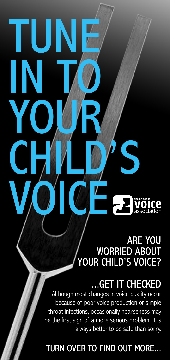## ARE YOU WORRIED ABOUT YOUR CHILD'S VOICE?

# ...GET IT CHECKED

Although most changes in voice quality occur because of poor voice production or simple throat infections, occasionally hoarseness may be the first sign of a more serious problem. It is always better to be safe than sorry.

TUNE

IN TO

YOUR

VOICE

CHILD'S

## TURN OVER TO FIND OUT MORE...